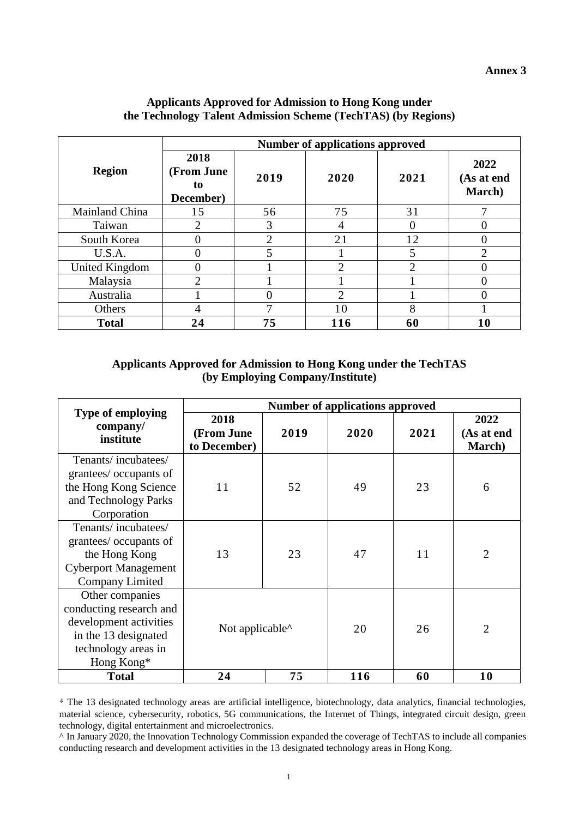|                | <b>Number of applications approved</b> |                |                |                |                              |  |
|----------------|----------------------------------------|----------------|----------------|----------------|------------------------------|--|
| <b>Region</b>  | 2018<br>(From June<br>to<br>December)  | 2019           | 2020           | 2021           | 2022<br>(As at end<br>March) |  |
| Mainland China | 15                                     | 56             | 75             | 31             |                              |  |
| Taiwan         | $\overline{2}$                         | 3              |                |                |                              |  |
| South Korea    | 0                                      | $\overline{2}$ | 21             | 12             |                              |  |
| U.S.A.         | 0                                      | 5              |                | 5              | ◠                            |  |
| United Kingdom | 0                                      |                | $\overline{2}$ | $\overline{2}$ |                              |  |
| Malaysia       | $\overline{2}$                         |                |                |                |                              |  |
| Australia      |                                        |                | ↑              |                |                              |  |
| Others         | 4                                      | 7              | 10             | 8              |                              |  |
| <b>Total</b>   | 24                                     | 75             | 116            | 60             | 10                           |  |

## **Applicants Approved for Admission to Hong Kong under the Technology Talent Admission Scheme (TechTAS) (by Regions)**

## **Applicants Approved for Admission to Hong Kong under the TechTAS (by Employing Company/Institute)**

|                                                                                                                                   | <b>Number of applications approved</b>        |      |      |      |                              |  |
|-----------------------------------------------------------------------------------------------------------------------------------|-----------------------------------------------|------|------|------|------------------------------|--|
| <b>Type of employing</b><br>company/<br>institute                                                                                 | 2018<br>(From June<br>to December)            | 2019 | 2020 | 2021 | 2022<br>(As at end<br>March) |  |
| Tenants/incubatees/<br>grantees/ occupants of<br>the Hong Kong Science<br>and Technology Parks<br>Corporation                     | 11                                            | 52   | 49   | 23   | 6                            |  |
| Tenants/incubatees/<br>grantees/ occupants of<br>the Hong Kong<br><b>Cyberport Management</b><br><b>Company Limited</b>           | 13                                            | 23   | 47   | 11   | 2                            |  |
| Other companies<br>conducting research and<br>development activities<br>in the 13 designated<br>technology areas in<br>Hong Kong* | Not applicable <sup><math>\wedge</math></sup> |      | 20   | 26   | $\overline{2}$               |  |
| <b>Total</b>                                                                                                                      | 24                                            | 75   | 116  | 60   | 10                           |  |

\* The 13 designated technology areas are artificial intelligence, biotechnology, data analytics, financial technologies, material science, cybersecurity, robotics, 5G communications, the Internet of Things, integrated circuit design, green technology, digital entertainment and microelectronics.

^ In January 2020, the Innovation Technology Commission expanded the coverage of TechTAS to include all companies conducting research and development activities in the 13 designated technology areas in Hong Kong.